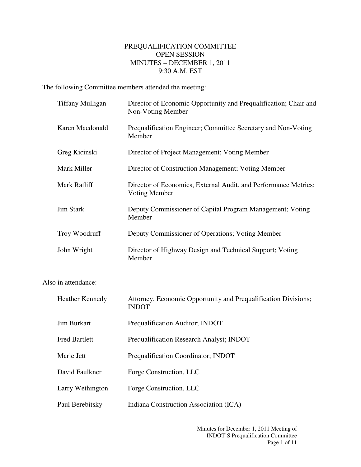## PREQUALIFICATION COMMITTEE OPEN SESSION MINUTES – DECEMBER 1, 2011 9:30 A.M. EST

The following Committee members attended the meeting:

| <b>Tiffany Mulligan</b> | Director of Economic Opportunity and Prequalification; Chair and<br>Non-Voting Member |
|-------------------------|---------------------------------------------------------------------------------------|
| Karen Macdonald         | Prequalification Engineer; Committee Secretary and Non-Voting<br>Member               |
| Greg Kicinski           | Director of Project Management; Voting Member                                         |
| Mark Miller             | Director of Construction Management; Voting Member                                    |
| Mark Ratliff            | Director of Economics, External Audit, and Performance Metrics;<br>Voting Member      |
| <b>Jim Stark</b>        | Deputy Commissioner of Capital Program Management; Voting<br>Member                   |
| Troy Woodruff           | Deputy Commissioner of Operations; Voting Member                                      |
| John Wright             | Director of Highway Design and Technical Support; Voting<br>Member                    |

Also in attendance:

| <b>Heather Kennedy</b> | Attorney, Economic Opportunity and Prequalification Divisions;<br><b>INDOT</b> |
|------------------------|--------------------------------------------------------------------------------|
| <b>Jim Burkart</b>     | Prequalification Auditor; INDOT                                                |
| <b>Fred Bartlett</b>   | <b>Prequalification Research Analyst; INDOT</b>                                |
| Marie Jett             | <b>Prequalification Coordinator; INDOT</b>                                     |
| David Faulkner         | Forge Construction, LLC                                                        |
| Larry Wethington       | Forge Construction, LLC                                                        |
| Paul Berebitsky        | Indiana Construction Association (ICA)                                         |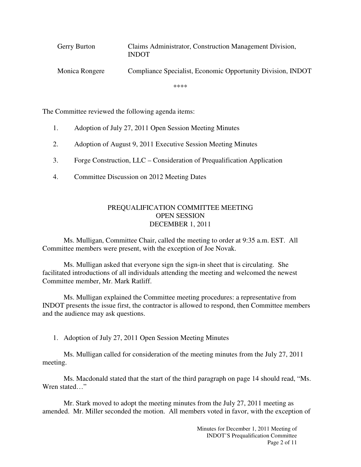| Gerry Burton   | Claims Administrator, Construction Management Division,<br><b>INDOT</b> |
|----------------|-------------------------------------------------------------------------|
| Monica Rongere | Compliance Specialist, Economic Opportunity Division, INDOT             |

\*\*\*\*

The Committee reviewed the following agenda items:

- 1. Adoption of July 27, 2011 Open Session Meeting Minutes
- 2. Adoption of August 9, 2011 Executive Session Meeting Minutes
- 3. Forge Construction, LLC Consideration of Prequalification Application
- 4. Committee Discussion on 2012 Meeting Dates

## PREQUALIFICATION COMMITTEE MEETING OPEN SESSION DECEMBER 1, 2011

 Ms. Mulligan, Committee Chair, called the meeting to order at 9:35 a.m. EST. All Committee members were present, with the exception of Joe Novak.

Ms. Mulligan asked that everyone sign the sign-in sheet that is circulating. She facilitated introductions of all individuals attending the meeting and welcomed the newest Committee member, Mr. Mark Ratliff.

 Ms. Mulligan explained the Committee meeting procedures: a representative from INDOT presents the issue first, the contractor is allowed to respond, then Committee members and the audience may ask questions.

1. Adoption of July 27, 2011 Open Session Meeting Minutes

 Ms. Mulligan called for consideration of the meeting minutes from the July 27, 2011 meeting.

Ms. Macdonald stated that the start of the third paragraph on page 14 should read, "Ms. Wren stated…"

 Mr. Stark moved to adopt the meeting minutes from the July 27, 2011 meeting as amended. Mr. Miller seconded the motion. All members voted in favor, with the exception of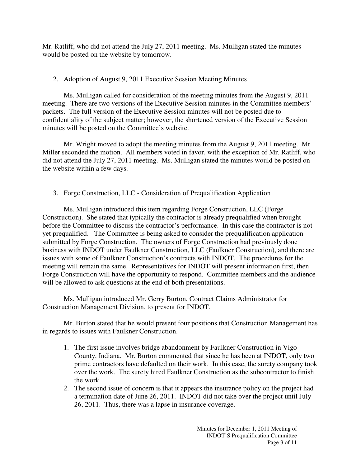Mr. Ratliff, who did not attend the July 27, 2011 meeting. Ms. Mulligan stated the minutes would be posted on the website by tomorrow.

## 2. Adoption of August 9, 2011 Executive Session Meeting Minutes

Ms. Mulligan called for consideration of the meeting minutes from the August 9, 2011 meeting. There are two versions of the Executive Session minutes in the Committee members' packets. The full version of the Executive Session minutes will not be posted due to confidentiality of the subject matter; however, the shortened version of the Executive Session minutes will be posted on the Committee's website.

 Mr. Wright moved to adopt the meeting minutes from the August 9, 2011 meeting. Mr. Miller seconded the motion. All members voted in favor, with the exception of Mr. Ratliff, who did not attend the July 27, 2011 meeting. Ms. Mulligan stated the minutes would be posted on the website within a few days.

3. Forge Construction, LLC - Consideration of Prequalification Application

Ms. Mulligan introduced this item regarding Forge Construction, LLC (Forge Construction). She stated that typically the contractor is already prequalified when brought before the Committee to discuss the contractor's performance. In this case the contractor is not yet prequalified. The Committee is being asked to consider the prequalification application submitted by Forge Construction. The owners of Forge Construction had previously done business with INDOT under Faulkner Construction, LLC (Faulkner Construction), and there are issues with some of Faulkner Construction's contracts with INDOT. The procedures for the meeting will remain the same. Representatives for INDOT will present information first, then Forge Construction will have the opportunity to respond. Committee members and the audience will be allowed to ask questions at the end of both presentations.

Ms. Mulligan introduced Mr. Gerry Burton, Contract Claims Administrator for Construction Management Division, to present for INDOT.

 Mr. Burton stated that he would present four positions that Construction Management has in regards to issues with Faulkner Construction.

- 1. The first issue involves bridge abandonment by Faulkner Construction in Vigo County, Indiana. Mr. Burton commented that since he has been at INDOT, only two prime contractors have defaulted on their work. In this case, the surety company took over the work. The surety hired Faulkner Construction as the subcontractor to finish the work.
- 2. The second issue of concern is that it appears the insurance policy on the project had a termination date of June 26, 2011. INDOT did not take over the project until July 26, 2011. Thus, there was a lapse in insurance coverage.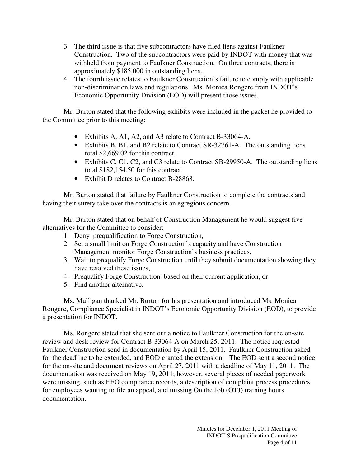- 3. The third issue is that five subcontractors have filed liens against Faulkner Construction. Two of the subcontractors were paid by INDOT with money that was withheld from payment to Faulkner Construction. On three contracts, there is approximately \$185,000 in outstanding liens.
- 4. The fourth issue relates to Faulkner Construction's failure to comply with applicable non-discrimination laws and regulations. Ms. Monica Rongere from INDOT's Economic Opportunity Division (EOD) will present those issues.

Mr. Burton stated that the following exhibits were included in the packet he provided to the Committee prior to this meeting:

- Exhibits A, A1, A2, and A3 relate to Contract B-33064-A.
- Exhibits B, B1, and B2 relate to Contract SR-32761-A. The outstanding liens total \$2,669.02 for this contract.
- Exhibits C, C1, C2, and C3 relate to Contract SB-29950-A. The outstanding liens total \$182,154.50 for this contract.
- Exhibit D relates to Contract B-28868.

Mr. Burton stated that failure by Faulkner Construction to complete the contracts and having their surety take over the contracts is an egregious concern.

Mr. Burton stated that on behalf of Construction Management he would suggest five alternatives for the Committee to consider:

- 1. Deny prequalification to Forge Construction,
- 2. Set a small limit on Forge Construction's capacity and have Construction Management monitor Forge Construction's business practices,
- 3. Wait to prequalify Forge Construction until they submit documentation showing they have resolved these issues,
- 4. Prequalify Forge Construction based on their current application, or
- 5. Find another alternative.

Ms. Mulligan thanked Mr. Burton for his presentation and introduced Ms. Monica Rongere, Compliance Specialist in INDOT's Economic Opportunity Division (EOD), to provide a presentation for INDOT.

Ms. Rongere stated that she sent out a notice to Faulkner Construction for the on-site review and desk review for Contract B-33064-A on March 25, 2011. The notice requested Faulkner Construction send in documentation by April 15, 2011. Faulkner Construction asked for the deadline to be extended, and EOD granted the extension. The EOD sent a second notice for the on-site and document reviews on April 27, 2011 with a deadline of May 11, 2011. The documentation was received on May 19, 2011; however, several pieces of needed paperwork were missing, such as EEO compliance records, a description of complaint process procedures for employees wanting to file an appeal, and missing On the Job (OTJ) training hours documentation.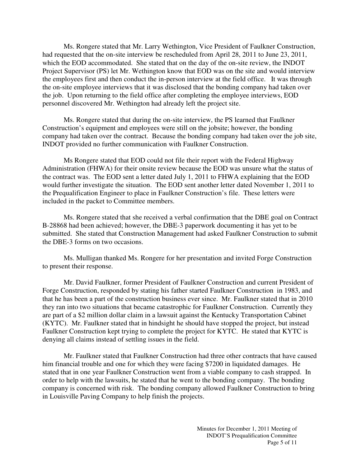Ms. Rongere stated that Mr. Larry Wethington, Vice President of Faulkner Construction, had requested that the on-site interview be rescheduled from April 28, 2011 to June 23, 2011, which the EOD accommodated. She stated that on the day of the on-site review, the INDOT Project Supervisor (PS) let Mr. Wethington know that EOD was on the site and would interview the employees first and then conduct the in-person interview at the field office. It was through the on-site employee interviews that it was disclosed that the bonding company had taken over the job. Upon returning to the field office after completing the employee interviews, EOD personnel discovered Mr. Wethington had already left the project site.

Ms. Rongere stated that during the on-site interview, the PS learned that Faulkner Construction's equipment and employees were still on the jobsite; however, the bonding company had taken over the contract. Because the bonding company had taken over the job site, INDOT provided no further communication with Faulkner Construction.

Ms Rongere stated that EOD could not file their report with the Federal Highway Administration (FHWA) for their onsite review because the EOD was unsure what the status of the contract was. The EOD sent a letter dated July 1, 2011 to FHWA explaining that the EOD would further investigate the situation. The EOD sent another letter dated November 1, 2011 to the Prequalification Engineer to place in Faulkner Construction's file. These letters were included in the packet to Committee members.

Ms. Rongere stated that she received a verbal confirmation that the DBE goal on Contract B-28868 had been achieved; however, the DBE-3 paperwork documenting it has yet to be submitted. She stated that Construction Management had asked Faulkner Construction to submit the DBE-3 forms on two occasions.

Ms. Mulligan thanked Ms. Rongere for her presentation and invited Forge Construction to present their response.

Mr. David Faulkner, former President of Faulkner Construction and current President of Forge Construction, responded by stating his father started Faulkner Construction in 1983, and that he has been a part of the construction business ever since. Mr. Faulkner stated that in 2010 they ran into two situations that became catastrophic for Faulkner Construction. Currently they are part of a \$2 million dollar claim in a lawsuit against the Kentucky Transportation Cabinet (KYTC). Mr. Faulkner stated that in hindsight he should have stopped the project, but instead Faulkner Construction kept trying to complete the project for KYTC. He stated that KYTC is denying all claims instead of settling issues in the field.

Mr. Faulkner stated that Faulkner Construction had three other contracts that have caused him financial trouble and one for which they were facing \$7200 in liquidated damages. He stated that in one year Faulkner Construction went from a viable company to cash strapped. In order to help with the lawsuits, he stated that he went to the bonding company. The bonding company is concerned with risk. The bonding company allowed Faulkner Construction to bring in Louisville Paving Company to help finish the projects.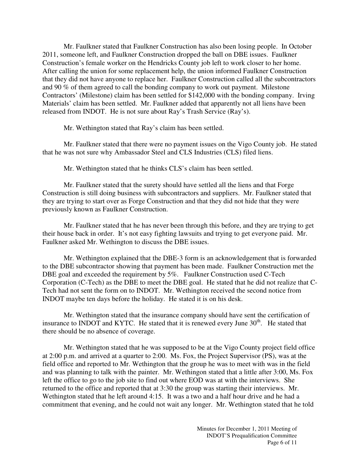Mr. Faulkner stated that Faulkner Construction has also been losing people. In October 2011, someone left, and Faulkner Construction dropped the ball on DBE issues. Faulkner Construction's female worker on the Hendricks County job left to work closer to her home. After calling the union for some replacement help, the union informed Faulkner Construction that they did not have anyone to replace her. Faulkner Construction called all the subcontractors and 90 % of them agreed to call the bonding company to work out payment. Milestone Contractors' (Milestone) claim has been settled for \$142,000 with the bonding company. Irving Materials' claim has been settled. Mr. Faulkner added that apparently not all liens have been released from INDOT. He is not sure about Ray's Trash Service (Ray's).

Mr. Wethington stated that Ray's claim has been settled.

Mr. Faulkner stated that there were no payment issues on the Vigo County job. He stated that he was not sure why Ambassador Steel and CLS Industries (CLS) filed liens.

Mr. Wethington stated that he thinks CLS's claim has been settled.

Mr. Faulkner stated that the surety should have settled all the liens and that Forge Construction is still doing business with subcontractors and suppliers. Mr. Faulkner stated that they are trying to start over as Forge Construction and that they did not hide that they were previously known as Faulkner Construction.

Mr. Faulkner stated that he has never been through this before, and they are trying to get their house back in order. It's not easy fighting lawsuits and trying to get everyone paid. Mr. Faulkner asked Mr. Wethington to discuss the DBE issues.

Mr. Wethington explained that the DBE-3 form is an acknowledgement that is forwarded to the DBE subcontractor showing that payment has been made. Faulkner Construction met the DBE goal and exceeded the requirement by 5%. Faulkner Construction used C-Tech Corporation (C-Tech) as the DBE to meet the DBE goal. He stated that he did not realize that C-Tech had not sent the form on to INDOT. Mr. Wethington received the second notice from INDOT maybe ten days before the holiday. He stated it is on his desk.

Mr. Wethington stated that the insurance company should have sent the certification of insurance to INDOT and KYTC. He stated that it is renewed every June  $30<sup>th</sup>$ . He stated that there should be no absence of coverage.

Mr. Wethington stated that he was supposed to be at the Vigo County project field office at 2:00 p.m. and arrived at a quarter to 2:00. Ms. Fox, the Project Supervisor (PS), was at the field office and reported to Mr. Wethington that the group he was to meet with was in the field and was planning to talk with the painter. Mr. Wethingon stated that a little after 3:00, Ms. Fox left the office to go to the job site to find out where EOD was at with the interviews. She returned to the office and reported that at 3:30 the group was starting their interviews. Mr. Wethington stated that he left around 4:15. It was a two and a half hour drive and he had a commitment that evening, and he could not wait any longer. Mr. Wethington stated that he told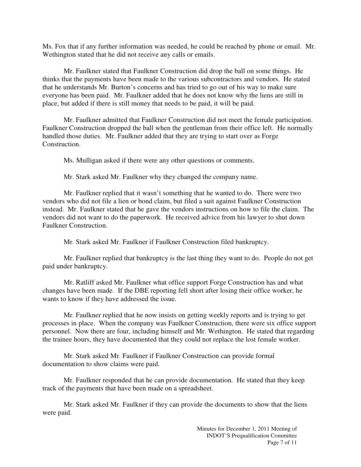Ms. Fox that if any further information was needed, he could be reached by phone or email. Mr. Wethington stated that he did not receive any calls or emails.

Mr. Faulkner stated that Faulkner Construction did drop the ball on some things. He thinks that the payments have been made to the various subcontractors and vendors. He stated that he understands Mr. Burton's concerns and has tried to go out of his way to make sure everyone has been paid. Mr. Faulkner added that he does not know why the liens are still in place, but added if there is still money that needs to be paid, it will be paid.

Mr. Faulkner admitted that Faulkner Construction did not meet the female participation. Faulkner Construction dropped the ball when the gentleman from their office left. He normally handled those duties. Mr. Faulkner added that they are trying to start over as Forge Construction.

Ms. Mulligan asked if there were any other questions or comments.

Mr. Stark asked Mr. Faulkner why they changed the company name.

Mr. Faulkner replied that it wasn't something that he wanted to do. There were two vendors who did not file a lien or bond claim, but filed a suit against Faulkner Construction instead. Mr. Faulkner stated that he gave the vendors instructions on how to file the claim. The vendors did not want to do the paperwork. He received advice from his lawyer to shut down Faulkner Construction.

Mr. Stark asked Mr. Faulkner if Faulkner Construction filed bankruptcy.

Mr. Faulkner replied that bankruptcy is the last thing they want to do. People do not get paid under bankruptcy.

Mr. Ratliff asked Mr. Faulkner what office support Forge Construction has and what changes have been made. If the DBE reporting fell short after losing their office worker, he wants to know if they have addressed the issue.

Mr. Faulkner replied that he now insists on getting weekly reports and is trying to get processes in place. When the company was Faulkner Construction, there were six office support personnel. Now there are four, including himself and Mr. Wethington. He stated that regarding the trainee hours, they have documented that they could not replace the lost female worker.

Mr. Stark asked Mr. Faulkner if Faulkner Construction can provide formal documentation to show claims were paid.

Mr. Faulkner responded that he can provide documentation. He stated that they keep track of the payments that have been made on a spreadsheet.

Mr. Stark asked Mr. Faulkner if they can provide the documents to show that the liens were paid.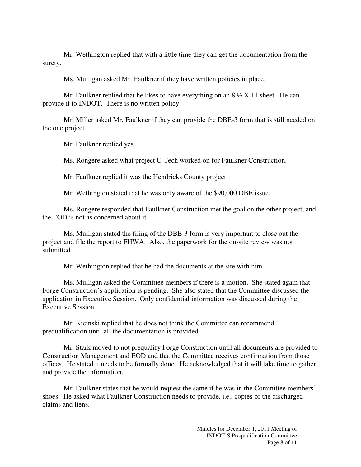Mr. Wethington replied that with a little time they can get the documentation from the surety.

Ms. Mulligan asked Mr. Faulkner if they have written policies in place.

Mr. Faulkner replied that he likes to have everything on an  $8\frac{1}{2}$  X 11 sheet. He can provide it to INDOT. There is no written policy.

Mr. Miller asked Mr. Faulkner if they can provide the DBE-3 form that is still needed on the one project.

Mr. Faulkner replied yes.

Ms. Rongere asked what project C-Tech worked on for Faulkner Construction.

Mr. Faulkner replied it was the Hendricks County project.

Mr. Wethington stated that he was only aware of the \$90,000 DBE issue.

Ms. Rongere responded that Faulkner Construction met the goal on the other project, and the EOD is not as concerned about it.

Ms. Mulligan stated the filing of the DBE-3 form is very important to close out the project and file the report to FHWA. Also, the paperwork for the on-site review was not submitted.

Mr. Wethington replied that he had the documents at the site with him.

Ms. Mulligan asked the Committee members if there is a motion. She stated again that Forge Construction's application is pending. She also stated that the Committee discussed the application in Executive Session. Only confidential information was discussed during the Executive Session.

Mr. Kicinski replied that he does not think the Committee can recommend prequalification until all the documentation is provided.

Mr. Stark moved to not prequalify Forge Construction until all documents are provided to Construction Management and EOD and that the Committee receives confirmation from those offices. He stated it needs to be formally done. He acknowledged that it will take time to gather and provide the information.

Mr. Faulkner states that he would request the same if he was in the Committee members' shoes. He asked what Faulkner Construction needs to provide, i.e., copies of the discharged claims and liens.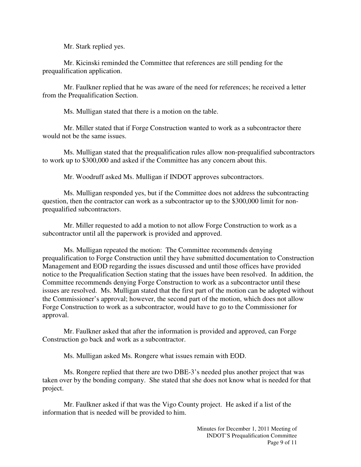Mr. Stark replied yes.

Mr. Kicinski reminded the Committee that references are still pending for the prequalification application.

Mr. Faulkner replied that he was aware of the need for references; he received a letter from the Prequalification Section.

Ms. Mulligan stated that there is a motion on the table.

Mr. Miller stated that if Forge Construction wanted to work as a subcontractor there would not be the same issues.

Ms. Mulligan stated that the prequalification rules allow non-prequalified subcontractors to work up to \$300,000 and asked if the Committee has any concern about this.

Mr. Woodruff asked Ms. Mulligan if INDOT approves subcontractors.

Ms. Mulligan responded yes, but if the Committee does not address the subcontracting question, then the contractor can work as a subcontractor up to the \$300,000 limit for nonprequalified subcontractors.

Mr. Miller requested to add a motion to not allow Forge Construction to work as a subcontractor until all the paperwork is provided and approved.

Ms. Mulligan repeated the motion: The Committee recommends denying prequalification to Forge Construction until they have submitted documentation to Construction Management and EOD regarding the issues discussed and until those offices have provided notice to the Prequalification Section stating that the issues have been resolved. In addition, the Committee recommends denying Forge Construction to work as a subcontractor until these issues are resolved. Ms. Mulligan stated that the first part of the motion can be adopted without the Commissioner's approval; however, the second part of the motion, which does not allow Forge Construction to work as a subcontractor, would have to go to the Commissioner for approval.

Mr. Faulkner asked that after the information is provided and approved, can Forge Construction go back and work as a subcontractor.

Ms. Mulligan asked Ms. Rongere what issues remain with EOD.

Ms. Rongere replied that there are two DBE-3's needed plus another project that was taken over by the bonding company. She stated that she does not know what is needed for that project.

Mr. Faulkner asked if that was the Vigo County project. He asked if a list of the information that is needed will be provided to him.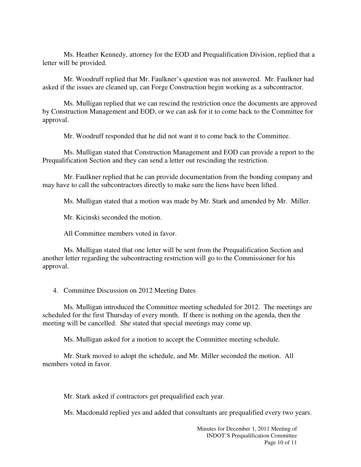Ms. Heather Kennedy, attorney for the EOD and Prequalification Division, replied that a letter will be provided.

Mr. Woodruff replied that Mr. Faulkner's question was not answered. Mr. Faulkner had asked if the issues are cleaned up, can Forge Construction begin working as a subcontractor.

Ms. Mulligan replied that we can rescind the restriction once the documents are approved by Construction Management and EOD, or we can ask for it to come back to the Committee for approval.

Mr. Woodruff responded that he did not want it to come back to the Committee.

Ms. Mulligan stated that Construction Management and EOD can provide a report to the Prequalification Section and they can send a letter out rescinding the restriction.

Mr. Faulkner replied that he can provide documentation from the bonding company and may have to call the subcontractors directly to make sure the liens have been lifted.

Ms. Mulligan stated that a motion was made by Mr. Stark and amended by Mr. Miller.

Mr. Kicinski seconded the motion.

All Committee members voted in favor.

Ms. Mulligan stated that one letter will be sent from the Prequalification Section and another letter regarding the subcontracting restriction will go to the Commissioner for his approval.

4. Committee Discussion on 2012 Meeting Dates

Ms. Mulligan introduced the Committee meeting scheduled for 2012. The meetings are scheduled for the first Thursday of every month. If there is nothing on the agenda, then the meeting will be cancelled. She stated that special meetings may come up.

Ms. Mulligan asked for a motion to accept the Committee meeting schedule.

 Mr. Stark moved to adopt the schedule, and Mr. Miller seconded the motion. All members voted in favor.

Mr. Stark asked if contractors get prequalified each year.

Ms. Macdonald replied yes and added that consultants are prequalified every two years.